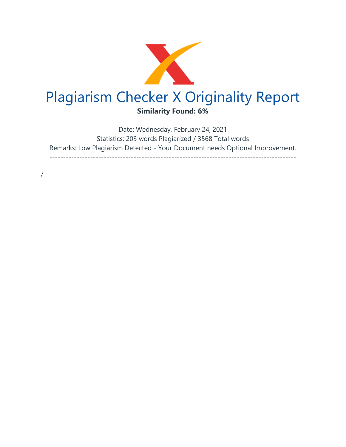

Date: Wednesday, February 24, 2021 Statistics: 203 words Plagiarized / 3568 Total words Remarks: Low Plagiarism Detected - Your Document needs Optional Improvement. -------------------------------------------------------------------------------------------

/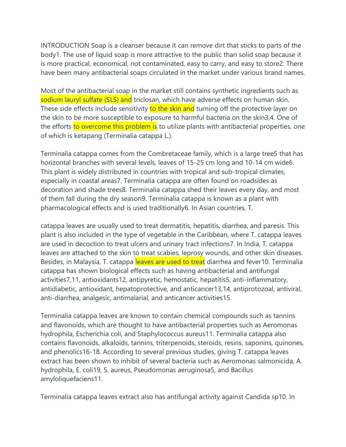INTRODUCTION Soap is a cleanser because it can remove dirt that sticks to parts of the body1. The use of liquid soap is more attractive to the public than solid soap because it is more practical, economical, not contaminated, easy to carry, and easy to store2. There have been many antibacterial soaps circulated in the market under various brand names.

Most of the antibacterial soap in the market still contains synthetic ingredients such as sodium lauryl sulfate (SLS) and triclosan, which have adverse effects on human skin. These side effects include sensitivity to the skin and turning off the protective layer on the skin to be more susceptible to exposure to harmful bacteria on the skin3,4. One of the efforts to overcome this problem is to utilize plants with antibacterial properties, one of which is ketapang (Terminalia catappa L.).

Terminalia catappa comes from the Combretaceae family, which is a large tree5 that has horizontal branches with several levels, leaves of 15-25 cm long and 10-14 cm wide6. This plant is widely distributed in countries with tropical and sub-tropical climates, especially in coastal areas7. Terminalia catappa are often found on roadsides as decoration and shade trees8. Terminalia catappa shed their leaves every day, and most of them fall during the dry season9. Terminalia catappa is known as a plant with pharmacological effects and is used traditionally6. In Asian countries, T.

catappa leaves are usually used to treat dermatitis, hepatitis, diarrhea, and paresis. This plant is also included in the type of vegetable in the Caribbean, where T. catappa leaves are used in decoction to treat ulcers and urinary tract infections7. In India, T. catappa leaves are attached to the skin to treat scabies, leprosy wounds, and other skin diseases. Besides, in Malaysia, T. catappa leaves are used to treat diarrhea and fever10. Terminalia catappa has shown biological effects such as having antibacterial and antifungal activities7,11, antioxidants12, antipyretic, hemostatic, hepatitis5, anti-inflammatory, antidiabetic, antioxidant, hepatoprotective, and anticancer13,14, antiprotozoal, antiviral, anti-diarrhea, analgesic, antimalarial, and anticancer activities15.

Terminalia catappa leaves are known to contain chemical compounds such as tannins and flavonoids, which are thought to have antibacterial properties such as Aeromonas hydrophila, Escherichia coli, and Staphylococcus aureus11. Terminalia catappa also contains flavonoids, alkaloids, tannins, triterpenoids, steroids, resins, saponins, quinones, and phenolics16-18. According to several previous studies, giving T. catappa leaves extract has been shown to inhibit of several bacteria such as Aeromonas salmonicida, A. hydrophila, E. coli19, S. aureus, Pseudomonas aeruginosa5, and Bacillus amyloliquefaciens11.

Terminalia catappa leaves extract also has antifungal activity against Candida sp10. In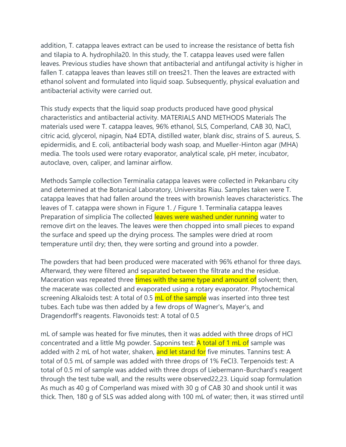addition, T. catappa leaves extract can be used to increase the resistance of betta fish and tilapia to A. hydrophila20. In this study, the T. catappa leaves used were fallen leaves. Previous studies have shown that antibacterial and antifungal activity is higher in fallen T. catappa leaves than leaves still on trees21. Then the leaves are extracted with ethanol solvent and formulated into liquid soap. Subsequently, physical evaluation and antibacterial activity were carried out.

This study expects that the liquid soap products produced have good physical characteristics and antibacterial activity. MATERIALS AND METHODS Materials The materials used were T. catappa leaves, 96% ethanol, SLS, Comperland, CAB 30, NaCl, citric acid, glycerol, nipagin, Na4 EDTA, distilled water, blank disc, strains of S. aureus, S. epidermidis, and E. coli, antibacterial body wash soap, and Mueller-Hinton agar (MHA) media. The tools used were rotary evaporator, analytical scale, pH meter, incubator, autoclave, oven, caliper, and laminar airflow.

Methods Sample collection Terminalia catappa leaves were collected in Pekanbaru city and determined at the Botanical Laboratory, Universitas Riau. Samples taken were T. catappa leaves that had fallen around the trees with brownish leaves characteristics. The leaves of T. catappa were shown in Figure 1. / Figure 1. Terminalia catappa leaves Preparation of simplicia The collected leaves were washed under running water to remove dirt on the leaves. The leaves were then chopped into small pieces to expand the surface and speed up the drying process. The samples were dried at room temperature until dry; then, they were sorting and ground into a powder.

The powders that had been produced were macerated with 96% ethanol for three days. Afterward, they were filtered and separated between the filtrate and the residue. Maceration was repeated three times with the same type and amount of solvent; then, the macerate was collected and evaporated using a rotary evaporator. Phytochemical screening Alkaloids test: A total of 0.5 mL of the sample was inserted into three test tubes. Each tube was then added by a few drops of Wagner's, Mayer's, and Dragendorff's reagents. Flavonoids test: A total of 0.5

mL of sample was heated for five minutes, then it was added with three drops of HCl concentrated and a little Mg powder. Saponins test: **A total of 1 mL of** sample was added with 2 mL of hot water, shaken, and let stand for five minutes. Tannins test: A total of 0.5 mL of sample was added with three drops of 1% FeCl3. Terpenoids test: A total of 0.5 ml of sample was added with three drops of Liebermann-Burchard's reagent through the test tube wall, and the results were observed22,23. Liquid soap formulation As much as 40 g of Comperland was mixed with 30 g of CAB 30 and shook until it was thick. Then, 180 g of SLS was added along with 100 mL of water; then, it was stirred until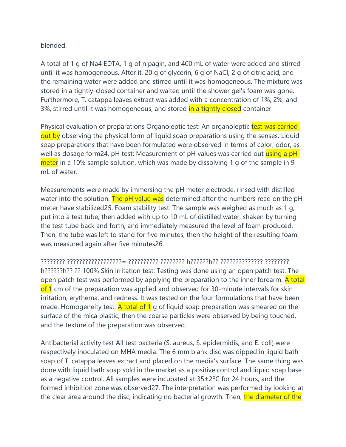blended.

A total of 1 g of Na4 EDTA, 1 g of nipagin, and 400 mL of water were added and stirred until it was homogeneous. After it, 20 g of glycerin, 6 g of NaCl, 2 g of citric acid, and the remaining water were added and stirred until it was homogeneous. The mixture was stored in a tightly-closed container and waited until the shower gel's foam was gone. Furthermore, T. catappa leaves extract was added with a concentration of 1%, 2%, and 3%, stirred until it was homogeneous, and stored in a tightly closed container.

Physical evaluation of preparations Organoleptic test: An organoleptic test was carried out by observing the physical form of liquid soap preparations using the senses. Liquid soap preparations that have been formulated were observed in terms of color, odor, as well as dosage form24, pH test: Measurement of pH values was carried out using a pH meter in a 10% sample solution, which was made by dissolving 1 g of the sample in 9 ml of water

Measurements were made by immersing the pH meter electrode, rinsed with distilled water into the solution. The pH value was determined after the numbers read on the pH meter have stabilized25. Foam stability test: The sample was weighed as much as 1 g, put into a test tube, then added with up to 10 mL of distilled water, shaken by turning the test tube back and forth, and immediately measured the level of foam produced. Then, the tube was left to stand for five minutes, then the height of the resulting foam was measured again after five minutes26.

???????? ??????????????????= ?????????? ???????? h??????h?? ?????????????? ???????? h??????h?? ?? 100% Skin irritation test: Testing was done using an open patch test. The open patch test was performed by applying the preparation to the inner forearm. A total of 1 cm of the preparation was applied and observed for 30-minute intervals for skin irritation, erythema, and redness. It was tested on the four formulations that have been made. Homogeneity test: A total of 1 g of liquid soap preparation was smeared on the surface of the mica plastic, then the coarse particles were observed by being touched, and the texture of the preparation was observed.

Antibacterial activity test All test bacteria (S. aureus, S. epidermidis, and E. coli) were respectively inoculated on MHA media. The 6 mm blank disc was dipped in liquid bath soap of T. catappa leaves extract and placed on the media's surface. The same thing was done with liquid bath soap sold in the market as a positive control and liquid soap base as a negative control. All samples were incubated at 35±2ºC for 24 hours, and the formed inhibition zone was observed27. The interpretation was performed by looking at the clear area around the disc, indicating no bacterial growth. Then, the diameter of the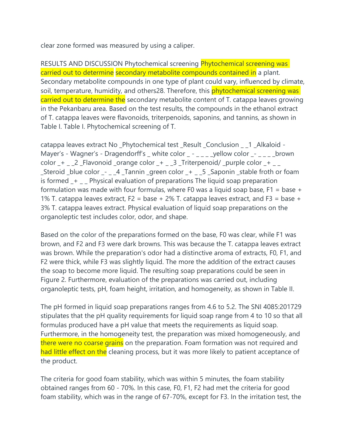clear zone formed was measured by using a caliper.

RESULTS AND DISCUSSION Phytochemical screening Phytochemical screening was carried out to determine secondary metabolite compounds contained in a plant. Secondary metabolite compounds in one type of plant could vary, influenced by climate, soil, temperature, humidity, and others28. Therefore, this **phytochemical screening was** carried out to determine the secondary metabolite content of T. catappa leaves growing in the Pekanbaru area. Based on the test results, the compounds in the ethanol extract of T. catappa leaves were flavonoids, triterpenoids, saponins, and tannins, as shown in Table I. Table I. Phytochemical screening of T.

catappa leaves extract No \_Phytochemical test \_Result \_Conclusion \_ \_1 \_Alkaloid - Mayer's - Wagner's - Dragendorff's \_ white color \_ - \_ \_ \_ \_ yellow color \_- \_ \_ \_ \_ brown color  $-+$   $-$  2  $-$  Flavonoid  $-$  orange color  $-+$   $-$  3  $-$  Triterpenoid/  $-$  purple color  $+$   $-$ \_Steroid \_blue color \_- \_ \_4 \_Tannin \_green color \_+ \_ \_5 \_Saponin \_stable froth or foam is formed \_+ \_ \_ Physical evaluation of preparations The liquid soap preparation formulation was made with four formulas, where F0 was a liquid soap base,  $F1 = base +$ 1% T. catappa leaves extract,  $F2 = base + 2\%$  T. catappa leaves extract, and  $F3 = base +$ 3% T. catappa leaves extract. Physical evaluation of liquid soap preparations on the organoleptic test includes color, odor, and shape.

Based on the color of the preparations formed on the base, F0 was clear, while F1 was brown, and F2 and F3 were dark browns. This was because the T. catappa leaves extract was brown. While the preparation's odor had a distinctive aroma of extracts, F0, F1, and F2 were thick, while F3 was slightly liquid. The more the addition of the extract causes the soap to become more liquid. The resulting soap preparations could be seen in Figure 2. Furthermore, evaluation of the preparations was carried out, including organoleptic tests, pH, foam height, irritation, and homogeneity, as shown in Table II.

The pH formed in liquid soap preparations ranges from 4.6 to 5.2. The SNI 4085:201729 stipulates that the pH quality requirements for liquid soap range from 4 to 10 so that all formulas produced have a pH value that meets the requirements as liquid soap. Furthermore, in the homogeneity test, the preparation was mixed homogeneously, and there were no coarse grains on the preparation. Foam formation was not required and had little effect on the cleaning process, but it was more likely to patient acceptance of the product.

The criteria for good foam stability, which was within 5 minutes, the foam stability obtained ranges from 60 - 70%. In this case, F0, F1, F2 had met the criteria for good foam stability, which was in the range of 67-70%, except for F3. In the irritation test, the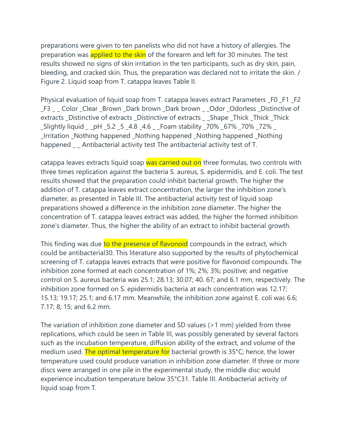preparations were given to ten panelists who did not have a history of allergies. The preparation was **applied to the skin** of the forearm and left for 30 minutes. The test results showed no signs of skin irritation in the ten participants, such as dry skin, pain, bleeding, and cracked skin. Thus, the preparation was declared not to irritate the skin. / Figure 2. Liquid soap from T. catappa leaves Table II.

Physical evaluation of liquid soap from T. catappa leaves extract Parameters F0 F1 F2 \_F3 \_ \_ Color \_Clear \_Brown \_Dark brown \_Dark brown \_ \_Odor \_Odorless \_Distinctive of extracts \_Distinctive of extracts \_Distinctive of extracts \_ \_Shape \_Thick \_Thick \_Thick \_Slightly liquid \_ \_pH \_5.2 \_5 \_4.8 \_4.6 \_ \_Foam stability \_70% \_67% \_70% \_72% \_ \_Irritation \_Nothing happened \_Nothing happened \_Nothing happened \_Nothing happened \_ \_ Antibacterial activity test The antibacterial activity test of T.

catappa leaves extracts liquid soap was carried out on three formulas, two controls with three times replication against the bacteria S. aureus, S. epidermidis, and E. coli. The test results showed that the preparation could inhibit bacterial growth. The higher the addition of T. catappa leaves extract concentration, the larger the inhibition zone's diameter, as presented in Table III. The antibacterial activity test of liquid soap preparations showed a difference in the inhibition zone diameter. The higher the concentration of T. catappa leaves extract was added, the higher the formed inhibition zone's diameter. Thus, the higher the ability of an extract to inhibit bacterial growth.

This finding was due to the presence of flavonoid compounds in the extract, which could be antibacterial30. This literature also supported by the results of phytochemical screening of T. catappa leaves extracts that were positive for flavonoid compounds. The inhibition zone formed at each concentration of 1%; 2%; 3%; positive; and negative control on S. aureus bacteria was 25.1; 28.13; 30.07; 40. 67; and 6.1 mm, respectively. The inhibition zone formed on S. epidermidis bacteria at each concentration was 12.17; 15.13; 19.17; 25.1; and 6.17 mm. Meanwhile, the inhibition zone against E. coli was 6.6; 7.17; 8; 15; and 6.2 mm.

The variation of inhibition zone diameter and SD values (>1 mm) yielded from three replications, which could be seen in Table III, was possibly generated by several factors such as the incubation temperature, diffusion ability of the extract, and volume of the medium used. The optimal temperature for bacterial growth is 35°C; hence, the lower temperature used could produce variation in inhibition zone diameter. If three or more discs were arranged in one pile in the experimental study, the middle disc would experience incubation temperature below 35°C31. Table III. Antibacterial activity of liquid soap from T.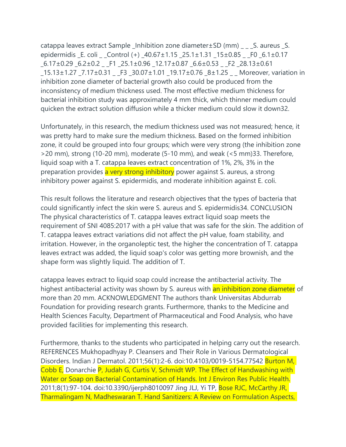catappa leaves extract Sample \_Inhibition zone diameter±SD (mm) \_ \_ \_S. aureus \_S. epidermidis \_E. coli \_ \_Control (+) \_40.67±1.15 \_25.1±1.31 \_15±0.85 \_ \_F0 \_6.1±0.17 \_6.17±0.29 \_6.2±0.2 \_ \_F1 \_25.1±0.96 \_12.17±0.87 \_6.6±0.53 \_ \_F2 \_28.13±0.61 \_15.13±1.27 \_7.17±0.31 \_ \_F3 \_30.07±1.01 \_19.17±0.76 \_8±1.25 \_ \_ Moreover, variation in inhibition zone diameter of bacterial growth also could be produced from the inconsistency of medium thickness used. The most effective medium thickness for bacterial inhibition study was approximately 4 mm thick, which thinner medium could quicken the extract solution diffusion while a thicker medium could slow it down32.

Unfortunately, in this research, the medium thickness used was not measured; hence, it was pretty hard to make sure the medium thickness. Based on the formed inhibition zone, it could be grouped into four groups; which were very strong (the inhibition zone >20 mm), strong (10-20 mm), moderate (5-10 mm), and weak (<5 mm)33. Therefore, liquid soap with a T. catappa leaves extract concentration of 1%, 2%, 3% in the preparation provides a very strong inhibitory power against S. aureus, a strong inhibitory power against S. epidermidis, and moderate inhibition against E. coli.

This result follows the literature and research objectives that the types of bacteria that could significantly infect the skin were S. aureus and S. epidermidis34. CONCLUSION The physical characteristics of T. catappa leaves extract liquid soap meets the requirement of SNI 4085:2017 with a pH value that was safe for the skin. The addition of T. catappa leaves extract variations did not affect the pH value, foam stability, and irritation. However, in the organoleptic test, the higher the concentration of T. catappa leaves extract was added, the liquid soap's color was getting more brownish, and the shape form was slightly liquid. The addition of T.

catappa leaves extract to liquid soap could increase the antibacterial activity. The highest antibacterial activity was shown by S. aureus with an inhibition zone diameter of more than 20 mm. ACKNOWLEDGMENT The authors thank Universitas Abdurrab Foundation for providing research grants. Furthermore, thanks to the Medicine and Health Sciences Faculty, Department of Pharmaceutical and Food Analysis, who have provided facilities for implementing this research.

Furthermore, thanks to the students who participated in helping carry out the research. REFERENCES Mukhopadhyay P. Cleansers and Their Role in Various Dermatological Disorders. Indian J Dermatol. 2011;56(1):2-6. doi:10.4103/0019-5154.77542 Burton M, Cobb E, Donarchie P, Judah G, Curtis V, Schmidt WP. The Effect of Handwashing with Water or Soap on Bacterial Contamination of Hands. Int J Environ Res Public Health. 2011;8(1):97-104. doi:10.3390/ijerph8010097 Jing JLJ, Yi TP, Bose RJC, McCarthy JR, Tharmalingam N, Madheswaran T. Hand Sanitizers: A Review on Formulation Aspects,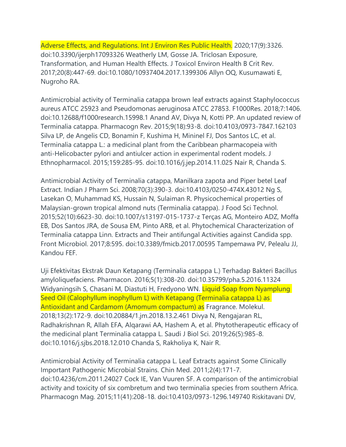Adverse Effects, and Regulations. Int J Environ Res Public Health. 2020;17(9):3326. doi:10.3390/ijerph17093326 Weatherly LM, Gosse JA. Triclosan Exposure, Transformation, and Human Health Effects. J Toxicol Environ Health B Crit Rev. 2017;20(8):447-69. doi:10.1080/10937404.2017.1399306 Allyn OQ, Kusumawati E, Nugroho RA.

Antimicrobial activity of Terminalia catappa brown leaf extracts against Staphylococcus aureus ATCC 25923 and Pseudomonas aeruginosa ATCC 27853. F1000Res. 2018;7:1406. doi:10.12688/f1000research.15998.1 Anand AV, Divya N, Kotti PP. An updated review of Terminalia catappa. Pharmacogn Rev. 2015;9(18):93-8. doi:10.4103/0973-7847.162103 Silva LP, de Angelis CD, Bonamin F, Kushima H, Mininel FJ, Dos Santos LC, et al. Terminalia catappa L.: a medicinal plant from the Caribbean pharmacopeia with anti-Helicobacter pylori and antiulcer action in experimental rodent models. J Ethnopharmacol. 2015;159:285-95. doi:10.1016/j.jep.2014.11.025 Nair R, Chanda S.

Antimicrobial Activity of Terminalia catappa, Manilkara zapota and Piper betel Leaf Extract. Indian J Pharm Sci. 2008;70(3):390-3. doi:10.4103/0250-474X.43012 Ng S, Lasekan O, Muhammad KS, Hussain N, Sulaiman R. Physicochemical properties of Malaysian-grown tropical almond nuts (Terminalia catappa). J Food Sci Technol. 2015;52(10):6623-30. doi:10.1007/s13197-015-1737-z Terças AG, Monteiro ADZ, Moffa EB, Dos Santos JRA, de Sousa EM, Pinto ARB, et al. Phytochemical Characterization of Terminalia catappa Linn. Extracts and Their antifungal Activities against Candida spp. Front Microbiol. 2017;8:595. doi:10.3389/fmicb.2017.00595 Tampemawa PV, Pelealu JJ, Kandou FEF.

Uji Efektivitas Ekstrak Daun Ketapang (Terminalia catappa L.) Terhadap Bakteri Bacillus amyloliquefaciens. Pharmacon. 2016;5(1):308-20. doi:10.35799/pha.5.2016.11324 Widyaningsih S, Chasani M, Diastuti H, Fredyono WN. Liquid Soap from Nyamplung Seed Oil (Calophyllum inophyllum L) with Ketapang (Terminalia catappa L) as Antioxidant and Cardamom (Amomum compactum) as Fragrance. Molekul. 2018;13(2):172-9. doi:10.20884/1.jm.2018.13.2.461 Divya N, Rengajaran RL, Radhakrishnan R, Allah EFA, Alqarawi AA, Hashem A, et al. Phytotherapeutic efficacy of the medicinal plant Terminalia catappa L. Saudi J Biol Sci. 2019;26(5):985-8. doi:10.1016/j.sjbs.2018.12.010 Chanda S, Rakholiya K, Nair R.

Antimicrobial Activity of Terminalia catappa L. Leaf Extracts against Some Clinically Important Pathogenic Microbial Strains. Chin Med. 2011;2(4):171-7. doi:10.4236/cm.2011.24027 Cock IE, Van Vuuren SF. A comparison of the antimicrobial activity and toxicity of six combretum and two terminalia species from southern Africa. Pharmacogn Mag. 2015;11(41):208-18. doi:10.4103/0973-1296.149740 Riskitavani DV,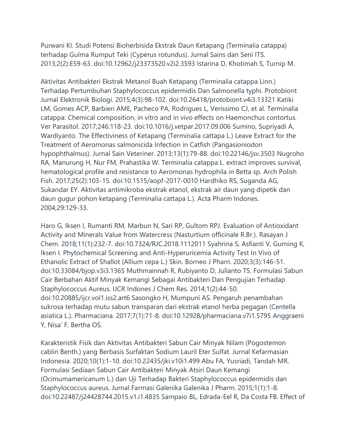Purwani KI. Studi Potensi Bioherbisida Ekstrak Daun Ketapang (Terminalia catappa) terhadap Gulma Rumput Teki (Cyperus rotundus). Jurnal Sains dan Seni ITS. 2013;2(2):E59-63. doi:10.12962/j23373520.v2i2.3593 Istarina D, Khotimah S, Turnip M.

Aktivitas Antibakteri Ekstrak Metanol Buah Ketapang (Terminalia catappa Linn.) Terhadap Pertumbuhan Staphylococcus epidermidis Dan Salmonella typhi. Protobiont Jurnal Elektronik Biologi. 2015;4(3):98-102. doi:10.26418/protobiont.v4i3.13321 Katiki LM, Gomes ACP, Barbieri AME, Pacheco PA, Rodrigues L, Verissimo CJ, et al. Terminalia catappa: Chemical composition, in vitro and in vivo effects on Haemonchus contortus. Ver Parasitol. 2017;246:118-23. doi:10.1016/j.vetpar.2017.09.006 Sumino, Supriyadi A, Wardiyanto. The Effectiviness of Ketapang (Terminalia cattapa L.) Leave Extract for the Treatment of Aeromonas salmonicida Infection in Catfish (Pangasioniodon hypophthalmus). Jurnal Sain Veteriner. 2013;13(1):79-88. doi:10.22146/jsv.3503 Nugroho RA, Manurung H, Nur FM, Prahastika W. Terminalia catappa L. extract improves survival, hematological profile and resistance to Aeromonas hydrophila in Betta sp. Arch Polish Fish. 2017;25(2):103-15. doi:10.1515/aopf-2017-0010 Hardhiko RS, Suganda AG, Sukandar EY. Aktivitas antimikroba ekstrak etanol, ekstrak air daun yang dipetik dan daun gugur pohon ketapang (Terminalia cattapa L.). Acta Pharm Indones. 2004;29:129-33.

Haro G, Iksen I, Rumanti RM, Marbun N, Sari RP, Gultom RPJ. Evaluation of Antioxidant Activity and Minerals Value from Watercress (Nasturtium officinale R.Br.). Rasayan J Chem. 2018;11(1):232-7. doi:10.7324/RJC.2018.1112011 Syahrina S, Asfianti V, Gurning K, Iksen I. Phytochemical Screening and Anti-Hyperuricemia Activity Test In Vivo of Ethanolic Extract of Shallot (Allium cepa L.) Skin. Borneo J Pharn. 2020;3(3):146-51. doi:10.33084/bjop.v3i3.1365 Muthmainnah R, Rubiyanto D, Julianto TS. Formulasi Sabun Cair Berbahan Aktif Minyak Kemangi Sebagai Antibakteri Dan Pengujian Terhadap Staphylococcus Aureus. IJCR Indones J Chem Res. 2014;1(2):44-50. doi:10.20885/ijcr.vol1.iss2.art6 Sasongko H, Mumpuni AS. Pengaruh penambahan sukrosa terhadap mutu sabun transparan dari ekstrak etanol herba pegagan (Centella asiatica L.). Pharmaciana. 2017;7(1):71-8. doi:10.12928/pharmaciana.v7i1.5795 Anggraeni Y, Nisa' F, Bertha OS.

Karakteristik Fisik dan Aktivitas Antibakteri Sabun Cair Minyak Nilam (Pogostemon cablin Benth.) yang Berbasis Surfaktan Sodium Lauril Eter Sulfat. Jurnal Kefarmasian Indonesia. 2020;10(1):1-10. doi:10.22435/jki.v10i1.499 Abu FA, Yusriadi, Tandah MR. Formulasi Sediaan Sabun Cair Antibakteri Minyak Atsiri Daun Kemangi (Ocimumamericanum L.) dan Uji Terhadap Bakteri Staphylococcus epidermidis dan Staphylococcus aureus. Jurnal Farmasi Galenika Galenika J Pharm. 2015;1(1):1-8. doi:10.22487/j24428744.2015.v1.i1.4835 Sampaio BL, Edrada-Eel R, Da Costa FB. Effect of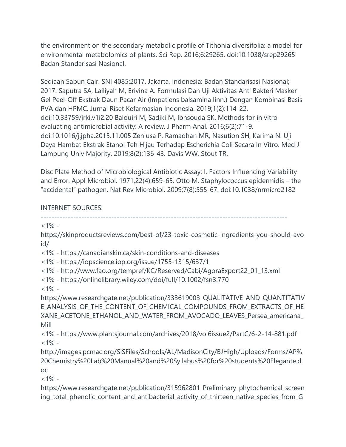the environment on the secondary metabolic profile of Tithonia diversifolia: a model for environmental metabolomics of plants. Sci Rep. 2016;6:29265. doi:10.1038/srep29265 Badan Standarisasi Nasional.

Sediaan Sabun Cair. SNI 4085:2017. Jakarta, Indonesia: Badan Standarisasi Nasional; 2017. Saputra SA, Lailiyah M, Erivina A. Formulasi Dan Uji Aktivitas Anti Bakteri Masker Gel Peel-Off Ekstrak Daun Pacar Air (Impatiens balsamina linn.) Dengan Kombinasi Basis PVA dan HPMC. Jurnal Riset Kefarmasian Indonesia. 2019;1(2):114-22. doi:10.33759/jrki.v1i2.20 Balouiri M, Sadiki M, Ibnsouda SK. Methods for in vitro evaluating antimicrobial activity: A review. J Pharm Anal. 2016;6(2):71-9. doi:10.1016/j.jpha.2015.11.005 Zeniusa P, Ramadhan MR, Nasution SH, Karima N. Uji Daya Hambat Ekstrak Etanol Teh Hijau Terhadap Escherichia Coli Secara In Vitro. Med J Lampung Univ Majority. 2019;8(2):136-43. Davis WW, Stout TR.

Disc Plate Method of Microbiological Antibiotic Assay: I. Factors Influencing Variability and Error. Appl Microbiol. 1971,22(4):659-65. Otto M. Staphylococcus epidermidis – the "accidental" pathogen. Nat Rev Microbiol. 2009;7(8):555-67. doi:10.1038/nrmicro2182

## INTERNET SOURCES:

-------------------------------------------------------------------------------------------

 $<1\%$  -

https://skinproductsreviews.com/best-of/23-toxic-cosmetic-ingredients-you-should-avo id/

<1% - https://canadianskin.ca/skin-conditions-and-diseases

<1% - https://iopscience.iop.org/issue/1755-1315/637/1

<1% - http://www.fao.org/tempref/KC/Reserved/Cabi/AgoraExport22\_01\_13.xml

<1% - https://onlinelibrary.wiley.com/doi/full/10.1002/fsn3.770

 $1\% -$ 

https://www.researchgate.net/publication/333619003\_QUALITATIVE\_AND\_QUANTITATIV E\_ANALYSIS\_OF\_THE\_CONTENT\_OF\_CHEMICAL\_COMPOUNDS\_FROM\_EXTRACTS\_OF\_HE XANE\_ACETONE\_ETHANOL\_AND\_WATER\_FROM\_AVOCADO\_LEAVES\_Persea\_americana\_ Mill

<1% - https://www.plantsjournal.com/archives/2018/vol6issue2/PartC/6-2-14-881.pdf  $<1\%$  -

http://images.pcmac.org/SiSFiles/Schools/AL/MadisonCity/BJHigh/Uploads/Forms/AP% 20Chemistry%20Lab%20Manual%20and%20Syllabus%20for%20students%20Elegante.d oc

 $<1\%$  -

https://www.researchgate.net/publication/315962801\_Preliminary\_phytochemical\_screen ing\_total\_phenolic\_content\_and\_antibacterial\_activity\_of\_thirteen\_native\_species\_from\_G